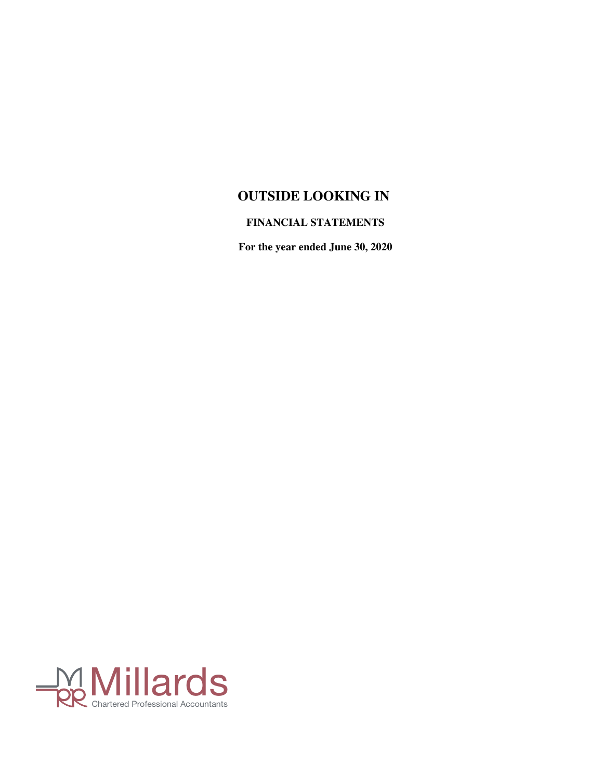## **FINANCIAL STATEMENTS**

**For the year ended June 30, 2020**

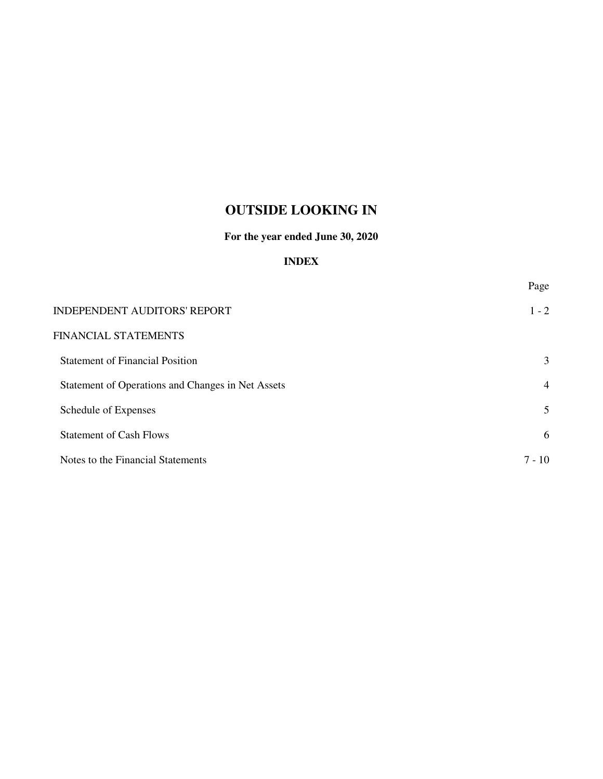## **For the year ended June 30, 2020**

## **INDEX**

Page INDEPENDENT AUDITORS' REPORT 1 - 2 FINANCIAL STATEMENTS Statement of Financial Position 3 Statement of Operations and Changes in Net Assets 4 Schedule of Expenses 5 Statement of Cash Flows 6 Notes to the Financial Statements 7 - 10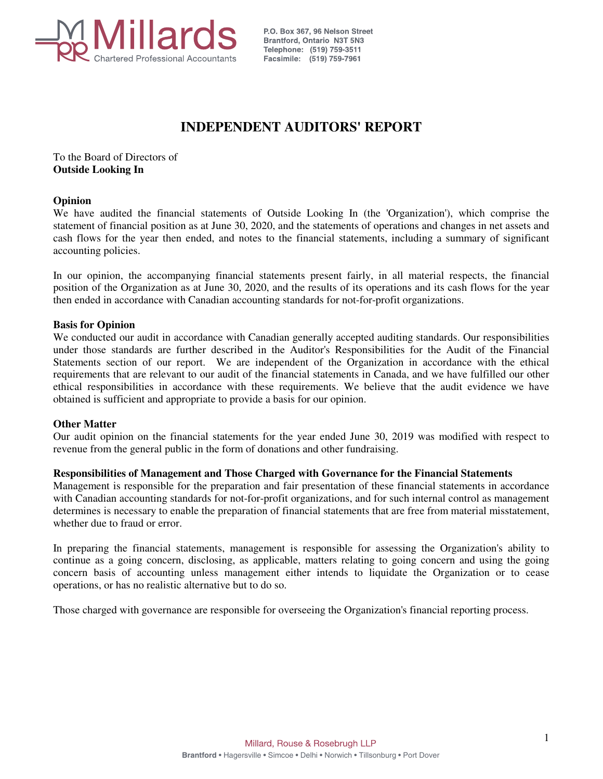

P.O. Box 367, 96 Nelson Street Brantford, Ontario N3T 5N3 Telephone: (519) 759-3511 Facsimile: (519) 759-7961

# **INDEPENDENT AUDITORS' REPORT**

To the Board of Directors of **Outside Looking In**

#### **Opinion**

We have audited the financial statements of Outside Looking In (the 'Organization'), which comprise the statement of financial position as at June 30, 2020, and the statements of operations and changes in net assets and cash flows for the year then ended, and notes to the financial statements, including a summary of significant accounting policies.

In our opinion, the accompanying financial statements present fairly, in all material respects, the financial position of the Organization as at June 30, 2020, and the results of its operations and its cash flows for the year then ended in accordance with Canadian accounting standards for not-for-profit organizations.

#### **Basis for Opinion**

We conducted our audit in accordance with Canadian generally accepted auditing standards. Our responsibilities under those standards are further described in the Auditor's Responsibilities for the Audit of the Financial Statements section of our report. We are independent of the Organization in accordance with the ethical requirements that are relevant to our audit of the financial statements in Canada, and we have fulfilled our other ethical responsibilities in accordance with these requirements. We believe that the audit evidence we have obtained is sufficient and appropriate to provide a basis for our opinion.

#### **Other Matter**

Our audit opinion on the financial statements for the year ended June 30, 2019 was modified with respect to revenue from the general public in the form of donations and other fundraising.

#### **Responsibilities of Management and Those Charged with Governance for the Financial Statements**

Management is responsible for the preparation and fair presentation of these financial statements in accordance with Canadian accounting standards for not-for-profit organizations, and for such internal control as management determines is necessary to enable the preparation of financial statements that are free from material misstatement, whether due to fraud or error.

In preparing the financial statements, management is responsible for assessing the Organization's ability to continue as a going concern, disclosing, as applicable, matters relating to going concern and using the going concern basis of accounting unless management either intends to liquidate the Organization or to cease operations, or has no realistic alternative but to do so.

Those charged with governance are responsible for overseeing the Organization's financial reporting process.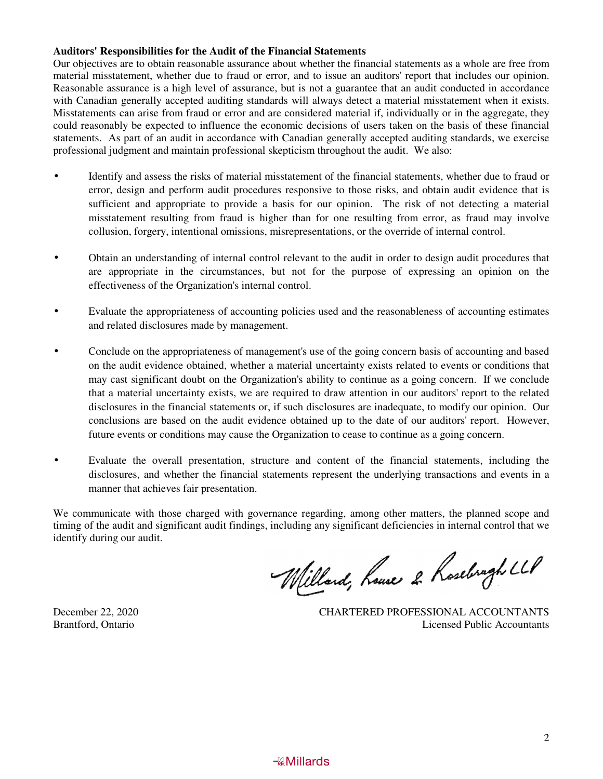#### **Auditors' Responsibilities for the Audit of the Financial Statements**

Our objectives are to obtain reasonable assurance about whether the financial statements as a whole are free from material misstatement, whether due to fraud or error, and to issue an auditors' report that includes our opinion. Reasonable assurance is a high level of assurance, but is not a guarantee that an audit conducted in accordance with Canadian generally accepted auditing standards will always detect a material misstatement when it exists. Misstatements can arise from fraud or error and are considered material if, individually or in the aggregate, they could reasonably be expected to influence the economic decisions of users taken on the basis of these financial statements. As part of an audit in accordance with Canadian generally accepted auditing standards, we exercise professional judgment and maintain professional skepticism throughout the audit. We also:

- Identify and assess the risks of material misstatement of the financial statements, whether due to fraud or error, design and perform audit procedures responsive to those risks, and obtain audit evidence that is sufficient and appropriate to provide a basis for our opinion. The risk of not detecting a material misstatement resulting from fraud is higher than for one resulting from error, as fraud may involve collusion, forgery, intentional omissions, misrepresentations, or the override of internal control.
- Obtain an understanding of internal control relevant to the audit in order to design audit procedures that are appropriate in the circumstances, but not for the purpose of expressing an opinion on the effectiveness of the Organization's internal control.
- Evaluate the appropriateness of accounting policies used and the reasonableness of accounting estimates and related disclosures made by management.
- Conclude on the appropriateness of management's use of the going concern basis of accounting and based on the audit evidence obtained, whether a material uncertainty exists related to events or conditions that may cast significant doubt on the Organization's ability to continue as a going concern. If we conclude that a material uncertainty exists, we are required to draw attention in our auditors' report to the related disclosures in the financial statements or, if such disclosures are inadequate, to modify our opinion. Our conclusions are based on the audit evidence obtained up to the date of our auditors' report. However, future events or conditions may cause the Organization to cease to continue as a going concern.
- Evaluate the overall presentation, structure and content of the financial statements, including the disclosures, and whether the financial statements represent the underlying transactions and events in a manner that achieves fair presentation.

We communicate with those charged with governance regarding, among other matters, the planned scope and timing of the audit and significant audit findings, including any significant deficiencies in internal control that we identify during our audit.

Willard, house 2 Roseburgh LLP

December 22, 2020 CHARTERED PROFESSIONAL ACCOUNTANTS Brantford, Ontario Licensed Public Accountants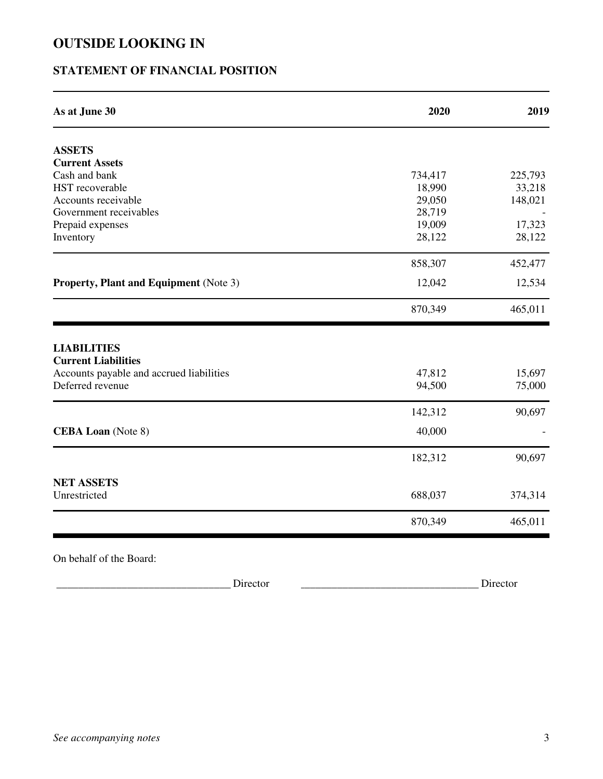## **STATEMENT OF FINANCIAL POSITION**

| As at June 30                                                                                                    | 2020             | 2019             |
|------------------------------------------------------------------------------------------------------------------|------------------|------------------|
| <b>ASSETS</b>                                                                                                    |                  |                  |
| <b>Current Assets</b>                                                                                            |                  |                  |
| Cash and bank                                                                                                    | 734,417          | 225,793          |
| HST recoverable                                                                                                  | 18,990           | 33,218           |
| Accounts receivable                                                                                              | 29,050           | 148,021          |
| Government receivables                                                                                           | 28,719           |                  |
| Prepaid expenses                                                                                                 | 19,009           | 17,323           |
| Inventory                                                                                                        | 28,122           | 28,122           |
|                                                                                                                  | 858,307          | 452,477          |
| <b>Property, Plant and Equipment (Note 3)</b>                                                                    | 12,042           | 12,534           |
|                                                                                                                  |                  |                  |
|                                                                                                                  | 870,349          | 465,011          |
| <b>LIABILITIES</b><br><b>Current Liabilities</b><br>Accounts payable and accrued liabilities<br>Deferred revenue | 47,812<br>94,500 | 15,697<br>75,000 |
|                                                                                                                  | 142,312          | 90,697           |
| <b>CEBA Loan</b> (Note 8)                                                                                        | 40,000           |                  |
|                                                                                                                  | 182,312          | 90,697           |
| <b>NET ASSETS</b><br>Unrestricted                                                                                | 688,037          | 374,314          |

On behalf of the Board:

\_\_\_\_\_\_\_\_\_\_\_\_\_\_\_\_\_\_\_\_\_\_\_\_\_\_\_\_\_\_\_\_\_\_\_\_\_\_\_\_\_\_\_\_\_\_\_\_\_\_\_ \_\_\_\_\_\_\_\_\_\_\_\_\_\_\_\_\_\_\_\_\_\_\_\_\_\_\_\_\_\_\_\_\_\_\_\_\_\_\_\_\_\_\_\_\_\_\_\_\_\_\_ Director \_\_\_\_\_\_\_\_\_\_\_\_\_\_\_\_\_\_\_\_\_\_\_\_\_\_\_\_\_\_\_\_\_\_\_\_\_\_\_\_\_\_\_\_\_\_\_\_\_\_\_ \_\_\_\_\_\_\_\_\_\_\_\_\_\_\_\_\_\_\_\_\_\_\_\_\_\_\_\_\_\_\_\_\_\_\_\_\_\_\_\_\_\_\_\_\_\_\_\_\_\_\_ Director \_\_\_\_\_\_\_\_\_\_\_\_\_\_\_\_\_\_\_\_\_\_\_\_\_\_\_\_\_\_\_\_\_\_\_\_\_\_\_\_\_\_\_\_\_\_\_\_\_\_\_ \_\_\_\_\_\_\_\_\_\_\_\_\_\_\_\_\_\_\_\_\_\_\_\_\_\_\_\_\_\_\_\_\_\_\_\_\_\_\_\_\_\_\_\_\_\_\_\_\_\_\_\_\_\_\_\_\_\_\_\_\_\_\_\_\_\_\_\_\_\_\_\_\_\_\_\_\_\_\_\_\_\_\_\_\_\_\_\_\_\_\_\_\_\_\_\_\_\_\_\_\_\_ \_\_\_\_\_\_\_\_\_\_\_\_\_\_\_\_\_\_\_\_\_\_\_\_\_\_\_\_\_\_\_\_\_\_\_\_\_\_\_\_\_\_\_\_\_\_\_\_\_\_\_\_\_\_\_\_\_\_\_\_\_\_\_\_\_\_\_\_\_\_\_\_\_\_\_\_\_\_\_\_\_\_\_\_\_\_\_\_\_\_\_\_\_\_\_\_\_\_\_\_\_\_ \_\_\_\_\_\_\_\_\_\_\_\_\_\_\_\_\_\_\_\_\_\_\_\_\_\_\_\_\_\_\_\_\_\_\_\_\_\_\_\_\_\_\_\_\_\_\_\_\_\_\_\_\_\_\_\_\_\_\_\_\_\_\_\_\_\_\_\_\_\_\_\_\_\_\_\_\_\_\_\_\_\_\_\_\_\_\_\_\_\_\_\_\_\_\_\_\_\_\_\_\_\_ \_\_\_\_\_\_\_\_\_\_\_\_\_\_\_\_\_\_\_\_\_\_\_\_\_\_\_\_\_\_\_\_\_\_\_\_\_\_\_\_\_\_\_\_\_\_\_\_\_\_\_\_\_\_\_\_\_\_\_\_\_\_\_\_\_\_\_\_\_\_\_\_\_\_\_\_\_\_\_\_\_\_\_\_\_\_\_\_\_\_\_\_\_\_\_\_\_\_\_\_\_\_ \_\_\_\_\_\_\_\_\_\_\_\_\_\_\_\_\_\_\_\_\_\_\_\_\_\_\_\_\_\_\_\_\_\_\_\_\_\_\_\_\_\_\_\_\_\_\_\_\_\_\_\_\_\_\_\_\_\_\_\_\_\_\_\_\_\_\_\_\_\_\_\_\_\_\_\_\_\_\_\_\_\_\_\_\_\_\_\_\_\_\_\_\_\_\_\_\_\_\_\_\_\_ \_\_\_\_\_\_\_\_\_\_\_\_\_\_\_\_\_\_\_\_\_\_\_\_\_\_\_\_\_\_\_\_\_\_\_\_\_\_\_\_\_\_\_\_\_\_\_\_\_\_\_\_\_\_\_\_\_\_\_\_\_\_\_\_\_\_\_\_\_\_\_\_\_\_\_\_\_\_\_\_\_\_\_\_\_\_\_\_\_\_\_\_\_\_\_\_\_\_\_\_\_\_ \_\_\_\_\_\_\_\_\_\_\_\_\_\_\_\_\_\_\_\_\_\_\_\_\_\_\_\_\_\_\_\_\_\_\_\_\_\_\_\_\_\_\_\_\_\_\_\_\_\_\_\_\_\_\_\_\_\_\_\_\_\_\_\_\_\_\_\_\_\_\_\_\_\_\_\_\_\_\_\_\_\_\_\_\_\_\_\_\_\_\_\_\_\_\_\_\_\_\_\_\_\_ \_\_\_\_\_\_\_\_\_\_\_\_\_\_\_\_\_\_\_\_\_\_\_\_\_\_\_\_\_\_\_\_\_\_\_\_\_\_\_\_\_\_\_\_\_\_\_\_\_\_\_\_\_\_\_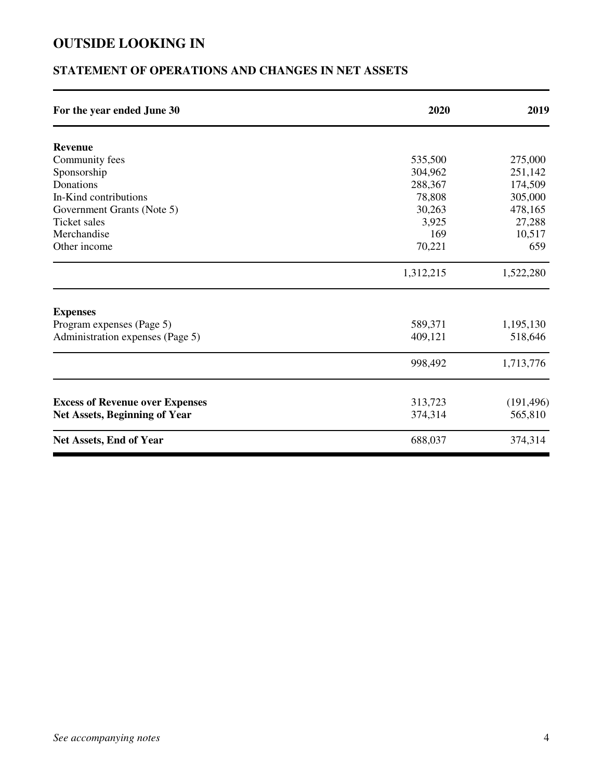# **STATEMENT OF OPERATIONS AND CHANGES IN NET ASSETS**

| For the year ended June 30             | 2020      | 2019       |
|----------------------------------------|-----------|------------|
| <b>Revenue</b>                         |           |            |
| Community fees                         | 535,500   | 275,000    |
| Sponsorship                            | 304,962   | 251,142    |
| Donations                              | 288,367   | 174,509    |
| In-Kind contributions                  | 78,808    | 305,000    |
| Government Grants (Note 5)             | 30,263    | 478,165    |
| <b>Ticket sales</b>                    | 3,925     | 27,288     |
| Merchandise                            | 169       | 10,517     |
| Other income                           | 70,221    | 659        |
|                                        | 1,312,215 | 1,522,280  |
| <b>Expenses</b>                        |           |            |
| Program expenses (Page 5)              | 589,371   | 1,195,130  |
| Administration expenses (Page 5)       | 409,121   | 518,646    |
|                                        | 998,492   | 1,713,776  |
| <b>Excess of Revenue over Expenses</b> | 313,723   | (191, 496) |
| <b>Net Assets, Beginning of Year</b>   | 374,314   | 565,810    |
| <b>Net Assets, End of Year</b>         | 688,037   | 374,314    |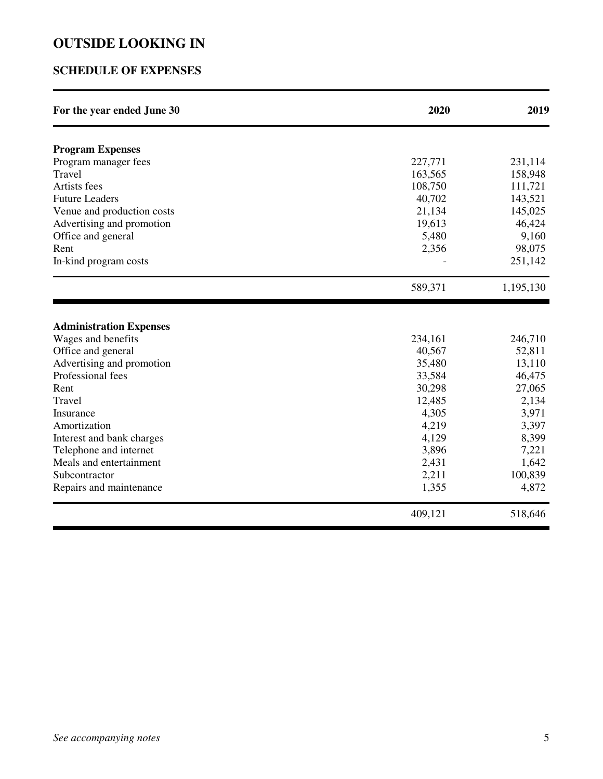## **SCHEDULE OF EXPENSES**

| For the year ended June 30                      | 2020    | 2019      |
|-------------------------------------------------|---------|-----------|
|                                                 |         |           |
| <b>Program Expenses</b><br>Program manager fees | 227,771 | 231,114   |
| Travel                                          | 163,565 | 158,948   |
| Artists fees                                    | 108,750 | 111,721   |
| <b>Future Leaders</b>                           | 40,702  | 143,521   |
| Venue and production costs                      | 21,134  | 145,025   |
| Advertising and promotion                       | 19,613  | 46,424    |
| Office and general                              | 5,480   | 9,160     |
| Rent                                            | 2,356   | 98,075    |
| In-kind program costs                           |         | 251,142   |
|                                                 | 589,371 | 1,195,130 |
| <b>Administration Expenses</b>                  |         |           |
| Wages and benefits                              | 234,161 | 246,710   |
| Office and general                              | 40,567  | 52,811    |
| Advertising and promotion                       | 35,480  | 13,110    |
| Professional fees                               | 33,584  | 46,475    |
| Rent                                            | 30,298  | 27,065    |
| Travel                                          | 12,485  | 2,134     |
| Insurance                                       | 4,305   | 3,971     |
| Amortization                                    | 4,219   | 3,397     |
| Interest and bank charges                       | 4,129   | 8,399     |
| Telephone and internet                          | 3,896   | 7,221     |
| Meals and entertainment                         | 2,431   | 1,642     |
| Subcontractor                                   | 2,211   | 100,839   |
| Repairs and maintenance                         | 1,355   | 4,872     |
|                                                 | 409,121 | 518,646   |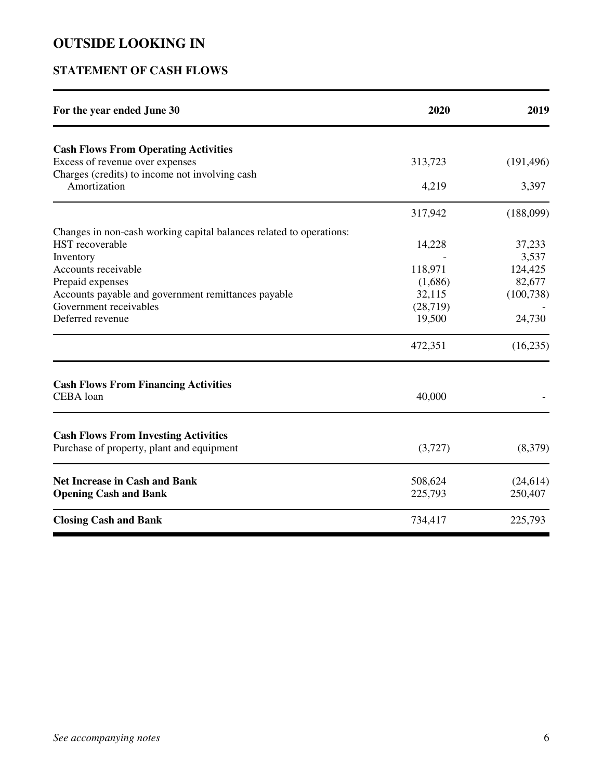## **STATEMENT OF CASH FLOWS**

| For the year ended June 30                                                               | 2020     | 2019       |
|------------------------------------------------------------------------------------------|----------|------------|
| <b>Cash Flows From Operating Activities</b>                                              |          |            |
| Excess of revenue over expenses                                                          | 313,723  | (191, 496) |
| Charges (credits) to income not involving cash<br>Amortization                           | 4,219    | 3,397      |
|                                                                                          | 317,942  | (188,099)  |
| Changes in non-cash working capital balances related to operations:                      |          |            |
| <b>HST</b> recoverable                                                                   | 14,228   | 37,233     |
| Inventory                                                                                |          | 3,537      |
| Accounts receivable                                                                      | 118,971  | 124,425    |
| Prepaid expenses                                                                         | (1,686)  | 82,677     |
| Accounts payable and government remittances payable                                      | 32,115   | (100, 738) |
| Government receivables                                                                   | (28,719) |            |
| Deferred revenue                                                                         | 19,500   | 24,730     |
|                                                                                          | 472,351  | (16, 235)  |
| <b>Cash Flows From Financing Activities</b>                                              |          |            |
| CEBA loan                                                                                | 40,000   |            |
|                                                                                          |          |            |
| <b>Cash Flows From Investing Activities</b><br>Purchase of property, plant and equipment | (3,727)  | (8,379)    |
| <b>Net Increase in Cash and Bank</b>                                                     | 508,624  | (24, 614)  |
| <b>Opening Cash and Bank</b>                                                             | 225,793  | 250,407    |
| <b>Closing Cash and Bank</b>                                                             | 734,417  | 225,793    |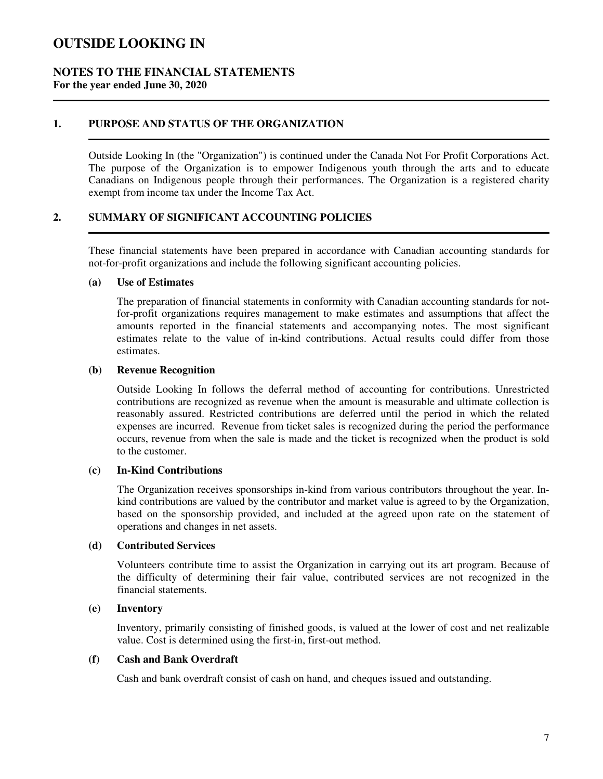#### **NOTES TO THE FINANCIAL STATEMENTS For the year ended June 30, 2020**

#### **1. PURPOSE AND STATUS OF THE ORGANIZATION**

Outside Looking In (the "Organization") is continued under the Canada Not For Profit Corporations Act. The purpose of the Organization is to empower Indigenous youth through the arts and to educate Canadians on Indigenous people through their performances. The Organization is a registered charity exempt from income tax under the Income Tax Act.

#### **2. SUMMARY OF SIGNIFICANT ACCOUNTING POLICIES**

These financial statements have been prepared in accordance with Canadian accounting standards for not-for-profit organizations and include the following significant accounting policies.

#### **(a) Use of Estimates**

The preparation of financial statements in conformity with Canadian accounting standards for notfor-profit organizations requires management to make estimates and assumptions that affect the amounts reported in the financial statements and accompanying notes. The most significant estimates relate to the value of in-kind contributions. Actual results could differ from those estimates.

#### **(b) Revenue Recognition**

Outside Looking In follows the deferral method of accounting for contributions. Unrestricted contributions are recognized as revenue when the amount is measurable and ultimate collection is reasonably assured. Restricted contributions are deferred until the period in which the related expenses are incurred. Revenue from ticket sales is recognized during the period the performance occurs, revenue from when the sale is made and the ticket is recognized when the product is sold to the customer.

#### **(c) In-Kind Contributions**

The Organization receives sponsorships in-kind from various contributors throughout the year. Inkind contributions are valued by the contributor and market value is agreed to by the Organization, based on the sponsorship provided, and included at the agreed upon rate on the statement of operations and changes in net assets.

#### **(d) Contributed Services**

Volunteers contribute time to assist the Organization in carrying out its art program. Because of the difficulty of determining their fair value, contributed services are not recognized in the financial statements.

#### **(e) Inventory**

Inventory, primarily consisting of finished goods, is valued at the lower of cost and net realizable value. Cost is determined using the first-in, first-out method.

#### **(f) Cash and Bank Overdraft**

Cash and bank overdraft consist of cash on hand, and cheques issued and outstanding.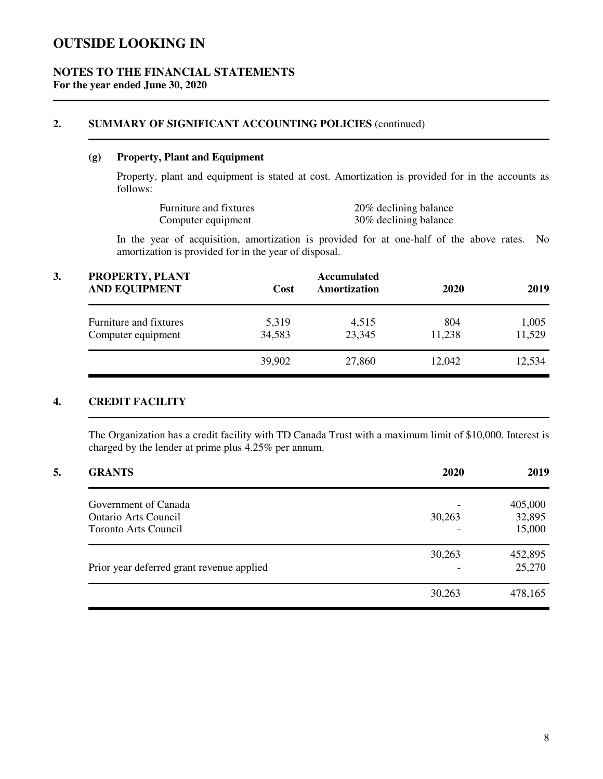### **NOTES TO THE FINANCIAL STATEMENTS For the year ended June 30, 2020**

#### **2. SUMMARY OF SIGNIFICANT ACCOUNTING POLICIES** (continued)

### **(g) Property, Plant and Equipment**

Property, plant and equipment is stated at cost. Amortization is provided for in the accounts as follows:

| Furniture and fixtures | 20% declining balance |
|------------------------|-----------------------|
| Computer equipment     | 30% declining balance |

In the year of acquisition, amortization is provided for at one-half of the above rates. No amortization is provided for in the year of disposal.

| 3. | PROPERTY, PLANT<br><b>AND EQUIPMENT</b>      | <b>Accumulated</b><br>Amortization<br>Cost |                 | 2019<br>2020  |                 |
|----|----------------------------------------------|--------------------------------------------|-----------------|---------------|-----------------|
|    | Furniture and fixtures<br>Computer equipment | 5,319<br>34,583                            | 4,515<br>23,345 | 804<br>11,238 | 1,005<br>11,529 |
|    |                                              | 39,902                                     | 27,860          | 12,042        | 12,534          |

## **4. CREDIT FACILITY**

The Organization has a credit facility with TD Canada Trust with a maximum limit of \$10,000. Interest is charged by the lender at prime plus 4.25% per annum.

| <b>GRANTS</b>                             | 2020   | 2019    |
|-------------------------------------------|--------|---------|
| Government of Canada                      |        | 405,000 |
| <b>Ontario Arts Council</b>               | 30,263 | 32,895  |
| Toronto Arts Council                      |        | 15,000  |
|                                           | 30,263 | 452,895 |
| Prior year deferred grant revenue applied |        | 25,270  |
|                                           | 30,263 | 478,165 |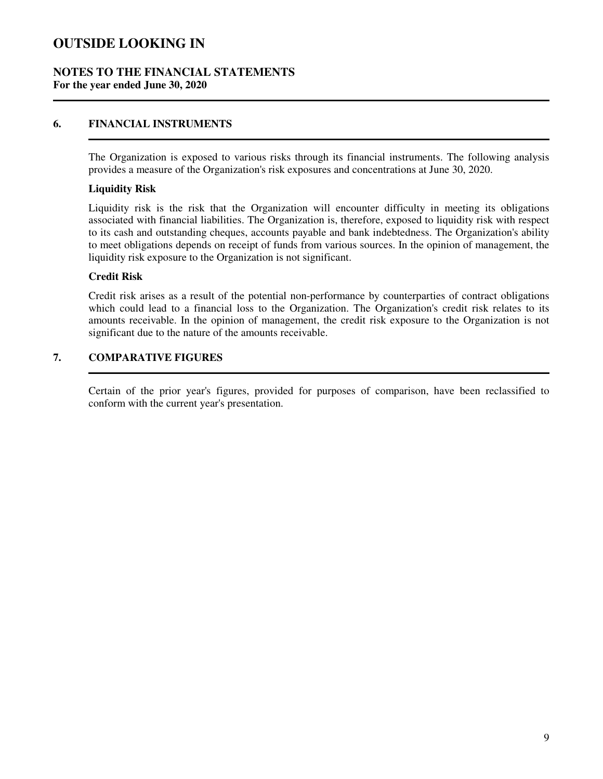#### **NOTES TO THE FINANCIAL STATEMENTS For the year ended June 30, 2020**

#### **6. FINANCIAL INSTRUMENTS**

The Organization is exposed to various risks through its financial instruments. The following analysis provides a measure of the Organization's risk exposures and concentrations at June 30, 2020.

#### **Liquidity Risk**

Liquidity risk is the risk that the Organization will encounter difficulty in meeting its obligations associated with financial liabilities. The Organization is, therefore, exposed to liquidity risk with respect to its cash and outstanding cheques, accounts payable and bank indebtedness. The Organization's ability to meet obligations depends on receipt of funds from various sources. In the opinion of management, the liquidity risk exposure to the Organization is not significant.

#### **Credit Risk**

Credit risk arises as a result of the potential non-performance by counterparties of contract obligations which could lead to a financial loss to the Organization. The Organization's credit risk relates to its amounts receivable. In the opinion of management, the credit risk exposure to the Organization is not significant due to the nature of the amounts receivable.

## **7. COMPARATIVE FIGURES**

Certain of the prior year's figures, provided for purposes of comparison, have been reclassified to conform with the current year's presentation.